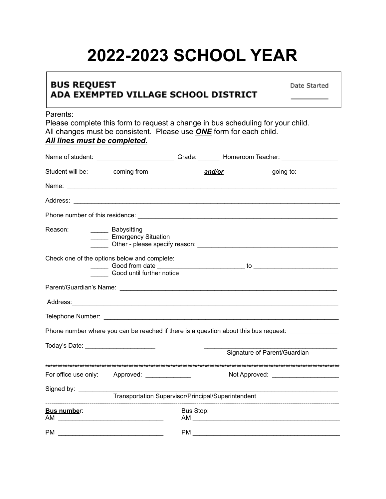## **2022-2023 SCHOOL YEAR**

## **BUS REQUEST** ADA EXEMPTED VILLAGE SCHOOL DISTRICT

Date Started

## Parents:

Please complete this form to request a change in bus scheduling for your child. All changes must be consistent. Please use *ONE* form for each child. *All lines must be completed.*

|                                             |                                                                           |                                                    | Name of student: ___________________________Grade: _________ Homeroom Teacher: ____________________                                                                                                                            |
|---------------------------------------------|---------------------------------------------------------------------------|----------------------------------------------------|--------------------------------------------------------------------------------------------------------------------------------------------------------------------------------------------------------------------------------|
| Student will be: coming from                |                                                                           | <u>and/or</u>                                      | going to:                                                                                                                                                                                                                      |
|                                             |                                                                           |                                                    |                                                                                                                                                                                                                                |
|                                             |                                                                           |                                                    |                                                                                                                                                                                                                                |
|                                             |                                                                           |                                                    |                                                                                                                                                                                                                                |
| Reason:                                     | ______ Babysitting<br>______ Emergency Situation                          |                                                    |                                                                                                                                                                                                                                |
|                                             | Check one of the options below and complete:<br>Good until further notice |                                                    |                                                                                                                                                                                                                                |
|                                             |                                                                           |                                                    |                                                                                                                                                                                                                                |
|                                             |                                                                           |                                                    | Address: 2008. Address: 2008. Address: 2008. Address: 2008. Address: 2008. Address: 2008. Address: 2008. Address: 2008. Address: 2008. Address: 2008. Address: 2008. Address: 2008. Address: 2008. Address: 2008. Address: 200 |
|                                             |                                                                           |                                                    |                                                                                                                                                                                                                                |
|                                             |                                                                           |                                                    | Phone number where you can be reached if there is a question about this bus request: ______________                                                                                                                            |
| Today's Date: <u>______________________</u> |                                                                           |                                                    |                                                                                                                                                                                                                                |
|                                             |                                                                           |                                                    | Signature of Parent/Guardian                                                                                                                                                                                                   |
|                                             | For office use only: Approved: ____________                               |                                                    | Not Approved: _____________________                                                                                                                                                                                            |
| Signed by: _________                        |                                                                           | Transportation Supervisor/Principal/Superintendent |                                                                                                                                                                                                                                |
|                                             |                                                                           |                                                    |                                                                                                                                                                                                                                |
| Bus number:                                 |                                                                           | Bus Stop:                                          |                                                                                                                                                                                                                                |
| PM                                          |                                                                           | <b>PM</b>                                          |                                                                                                                                                                                                                                |